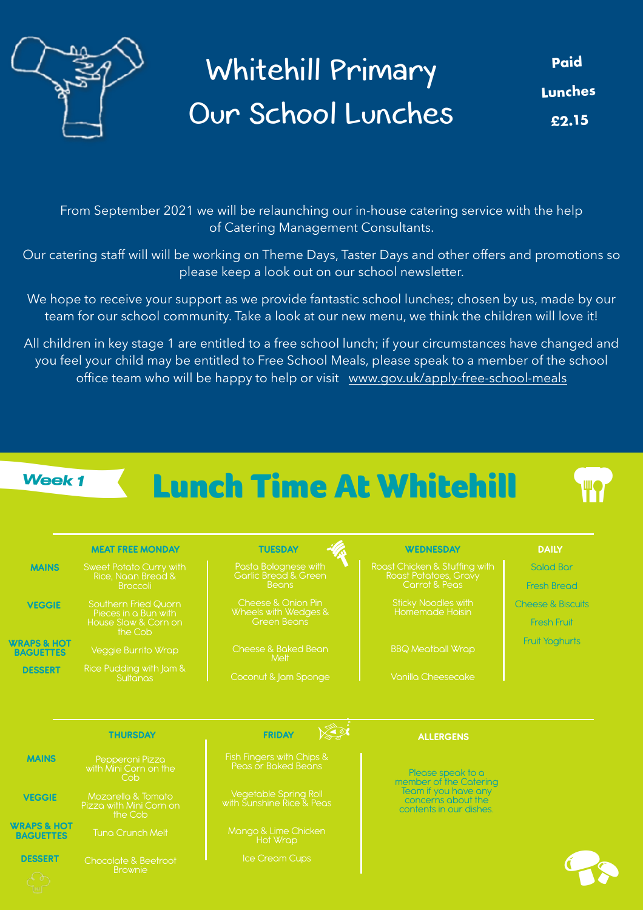

## Whitehill Primary Our School Lunches

**Paid Lunches £2.15**

From September 2021 we will be relaunching our in-house catering service with the help of Catering Management Consultants.

Our catering staff will will be working on Theme Days, Taster Days and other offers and promotions so please keep a look out on our school newsletter.

We hope to receive your support as we provide fantastic school lunches; chosen by us, made by our team for our school community. Take a look at our new menu, we think the children will love it!

All children in key stage 1 are entitled to a free school lunch; if your circumstances have changed and you feel your child may be entitled to Free School Meals, please speak to a member of the school office team who will be happy to help or visit [www.gov.uk/apply-free-school-meals](http://www.gov.uk/apply-free-school-meals)